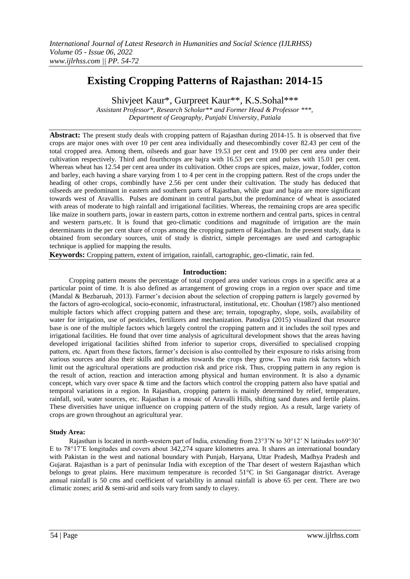# **Existing Cropping Patterns of Rajasthan: 2014-15**

Shivjeet Kaur\*, Gurpreet Kaur\*\*, K.S.Sohal\*\*\*

*Assistant Professor\*, Research Scholar\*\* and Former Head & Professor \*\*\*, Department of Geography, Punjabi University, Patiala*

**Abstract:** The present study deals with cropping pattern of Rajasthan during 2014-15. It is observed that five crops are major ones with over 10 per cent area individually and thesecombindly cover 82.43 per cent of the total cropped area. Among them, oilseeds and guar have 19.53 per cent and 19.00 per cent area under their cultivation respectively. Third and fourthcrops are bajra with 16.53 per cent and pulses with 15.01 per cent. Whereas wheat has 12.54 per cent area under its cultivation. Other crops are spices, maize, jowar, fodder, cotton and barley, each having a share varying from 1 to 4 per cent in the cropping pattern. Rest of the crops under the heading of other crops, combindly have 2.56 per cent under their cultivation. The study has deduced that oilseeds are predominant in eastern and southern parts of Rajasthan, while guar and bajra are more significant towards west of Aravallis. Pulses are dominant in central parts,but the predominance of wheat is associated with areas of moderate to high rainfall and irrigational facilities. Whereas, the remaining crops are area specific like maize in southern parts, jowar in eastern parts, cotton in extreme northern and central parts, spices in central and western parts,etc. It is found that geo-climatic conditions and magnitude of irrigation are the main determinants in the per cent share of crops among the cropping pattern of Rajasthan. In the present study, data is obtained from secondary sources, unit of study is district, simple percentages are used and cartographic technique is applied for mapping the results.

**Keywords:** Cropping pattern, extent of irrigation, rainfall, cartographic, geo-climatic, rain fed.

# **Introduction:**

Cropping pattern means the percentage of total cropped area under various crops in a specific area at a particular point of time. It is also defined as arrangement of growing crops in a region over space and time (Mandal & Bezbaruah, 2013). Farmer"s decision about the selection of cropping pattern is largely governed by the factors of agro-ecological, socio-economic, infrastructural, institutional, etc. Chouhan (1987) also mentioned multiple factors which affect cropping pattern and these are; terrain, topography, slope, soils, availability of water for irrigation, use of pesticides, fertilizers and mechanization. Patodiya (2015) visualized that resource base is one of the multiple factors which largely control the cropping pattern and it includes the soil types and irrigational facilities. He found that over time analysis of agricultural development shows that the areas having developed irrigational facilities shifted from inferior to superior crops, diversified to specialised cropping pattern, etc. Apart from these factors, farmer"s decision is also controlled by their exposure to risks arising from various sources and also their skills and attitudes towards the crops they grow. Two main risk factors which limit out the agricultural operations are production risk and price risk. Thus, cropping pattern in any region is the result of action, reaction and interaction among physical and human environment. It is also a dynamic concept, which vary over space & time and the factors which control the cropping pattern also have spatial and temporal variations in a region. In Rajasthan, cropping pattern is mainly determined by relief, temperature, rainfall, soil, water sources, etc. Rajasthan is a mosaic of Aravalli Hills, shifting sand dunes and fertile plains. These diversities have unique influence on cropping pattern of the study region. As a result, large variety of crops are grown throughout an agricultural year.

# **Study Area:**

Rajasthan is located in north-western part of India, extending from 23°3"N to 30°12" N latitudes to69°30" E to 78°17"E longitudes and covers about 342,274 square kilometres area. It shares an international boundary with Pakistan in the west and national boundary with Punjab, Haryana, Uttar Pradesh, Madhya Pradesh and Gujarat. Rajasthan is a part of peninsular India with exception of the Thar desert of western Rajasthan which belongs to great plains. Here maximum temperature is recorded 51°C in Sri Ganganagar district. Average annual rainfall is 50 cms and coefficient of variability in annual rainfall is above 65 per cent. There are two climatic zones; arid & semi-arid and soils vary from sandy to clayey.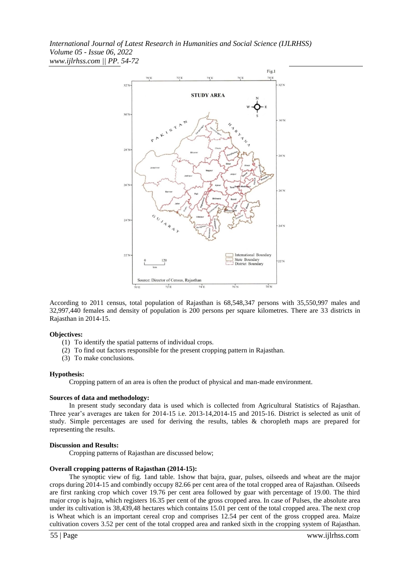

According to 2011 census, total population of Rajasthan is 68,548,347 persons with 35,550,997 males and 32,997,440 females and density of population is 200 persons per square kilometres. There are 33 districts in Rajasthan in 2014-15.

#### **Objectives:**

- (1) To identify the spatial patterns of individual crops.
- (2) To find out factors responsible for the present cropping pattern in Rajasthan.
- (3) To make conclusions.

#### **Hypothesis:**

Cropping pattern of an area is often the product of physical and man-made environment.

#### **Sources of data and methodology:**

In present study secondary data is used which is collected from Agricultural Statistics of Rajasthan. Three year's averages are taken for 2014-15 i.e. 2013-14,2014-15 and 2015-16. District is selected as unit of study. Simple percentages are used for deriving the results, tables & choropleth maps are prepared for representing the results.

#### **Discussion and Results:**

Cropping patterns of Rajasthan are discussed below;

#### **Overall cropping patterns of Rajasthan (2014-15):**

The synoptic view of fig. 1and table. 1show that bajra, guar, pulses, oilseeds and wheat are the major crops during 2014-15 and combindly occupy 82.66 per cent area of the total cropped area of Rajasthan. Oilseeds are first ranking crop which cover 19.76 per cent area followed by guar with percentage of 19.00. The third major crop is bajra, which registers 16.35 per cent of the gross cropped area. In case of Pulses, the absolute area under its cultivation is 38,439,48 hectares which contains 15.01 per cent of the total cropped area. The next crop is Wheat which is an important cereal crop and comprises 12.54 per cent of the gross cropped area. Maize cultivation covers 3.52 per cent of the total cropped area and ranked sixth in the cropping system of Rajasthan.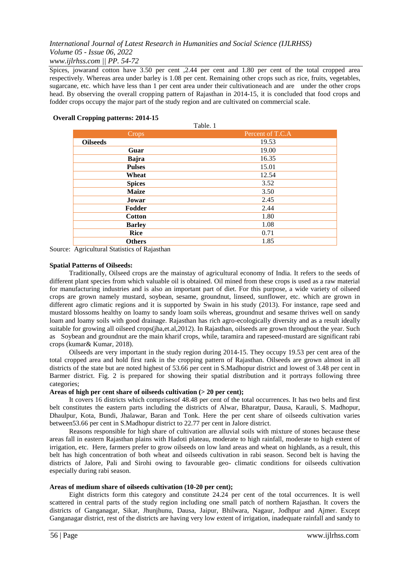# *www.ijlrhss.com || PP. 54-72*

Spices, jowarand cotton have 3.50 per cent ,2.44 per cent and 1.80 per cent of the total cropped area respectively. Whereas area under barley is 1.08 per cent. Remaining other crops such as rice, fruits, vegetables, sugarcane, etc. which have less than 1 per cent area under their cultivationeach and are under the other crops head. By observing the overall cropping pattern of Rajasthan in 2014-15, it is concluded that food crops and fodder crops occupy the major part of the study region and are cultivated on commercial scale.

## **Overall Cropping patterns: 2014-15**

| anie |  |
|------|--|
|      |  |

| Crops <sub>1</sub> | Percent of T.C.A |
|--------------------|------------------|
| <b>Oilseeds</b>    | 19.53            |
| Guar               | 19.00            |
| Bajra              | 16.35            |
| <b>Pulses</b>      | 15.01            |
| Wheat              | 12.54            |
| <b>Spices</b>      | 3.52             |
| <b>Maize</b>       | 3.50             |
| Jowar              | 2.45             |
| Fodder             | 2.44             |
| <b>Cotton</b>      | 1.80             |
| <b>Barley</b>      | 1.08             |
| <b>Rice</b>        | 0.71             |
| <b>Others</b>      | 1.85             |

Source: Agricultural Statistics of Rajasthan

#### **Spatial Patterns of Oilseeds:**

Traditionally, Oilseed crops are the mainstay of agricultural economy of India. It refers to the seeds of different plant species from which valuable oil is obtained. Oil mined from these crops is used as a raw material for manufacturing industries and is also an important part of diet. For this purpose, a wide variety of oilseed crops are grown namely mustard, soybean, sesame, groundnut, linseed, sunflower, etc. which are grown in different agro climatic regions and it is supported by Swain in his study (2013). For instance, rape seed and mustard blossoms healthy on loamy to sandy loam soils whereas, groundnut and sesame thrives well on sandy loam and loamy soils with good drainage. Rajasthan has rich agro-ecologically diversity and as a result ideally suitable for growing all oilseed crops(jha,et.al,2012). In Rajasthan, oilseeds are grown throughout the year. Such as Soybean and groundnut are the main kharif crops, while, taramira and rapeseed-mustard are significant rabi crops (kumar& Kumar, 2018).

Oilseeds are very important in the study region during 2014-15. They occupy 19.53 per cent area of the total cropped area and hold first rank in the cropping pattern of Rajasthan. Oilseeds are grown almost in all districts of the state but are noted highest of 53.66 per cent in S.Madhopur district and lowest of 3.48 per cent in Barmer district. Fig. 2 is prepared for showing their spatial distribution and it portrays following three categories;

## **Areas of high per cent share of oilseeds cultivation (> 20 per cent);**

It covers 16 districts which comprisesof 48.48 per cent of the total occurrences. It has two belts and first belt constitutes the eastern parts including the districts of Alwar, Bharatpur, Dausa, Karauli, S. Madhopur, Dhaulpur, Kota, Bundi, Jhalawar, Baran and Tonk. Here the per cent share of oilseeds cultivation varies between53.66 per cent in S.Madhopur district to 22.77 per cent in Jalore district.

Reasons responsible for high share of cultivation are alluvial soils with mixture of stones because these areas fall in eastern Rajasthan plains with Hadoti plateau, moderate to high rainfall, moderate to high extent of irrigation, etc. Here, farmers prefer to grow oilseeds on low land areas and wheat on highlands, as a result, this belt has high concentration of both wheat and oilseeds cultivation in rabi season. Second belt is having the districts of Jalore, Pali and Sirohi owing to favourable geo- climatic conditions for oilseeds cultivation especially during rabi season.

## **Areas of medium share of oilseeds cultivation (10-20 per cent);**

Eight districts form this category and constitute 24.24 per cent of the total occurrences. It is well scattered in central parts of the study region including one small patch of northern Rajasthan. It covers the districts of Ganganagar, Sikar, Jhunjhunu, Dausa, Jaipur, Bhilwara, Nagaur, Jodhpur and Ajmer. Except Ganganagar district, rest of the districts are having very low extent of irrigation, inadequate rainfall and sandy to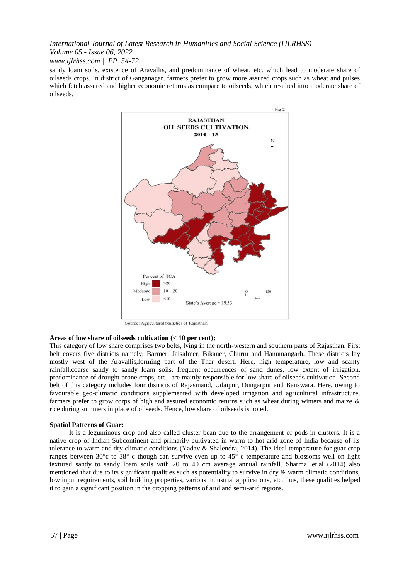*www.ijlrhss.com || PP. 54-72*

sandy loam soils, existence of Aravallis, and predominance of wheat, etc. which lead to moderate share of oilseeds crops. In district of Ganganagar, farmers prefer to grow more assured crops such as wheat and pulses which fetch assured and higher economic returns as compare to oilseeds, which resulted into moderate share of oilseeds.



Source: Agricultural Statistics of Rajasthan

# **Areas of low share of oilseeds cultivation (< 10 per cent);**

This category of low share comprises two belts, lying in the north-western and southern parts of Rajasthan. First belt covers five districts namely; Barmer, Jaisalmer, Bikaner, Churru and Hanumangarh. These districts lay mostly west of the Aravallis,forming part of the Thar desert. Here, high temperature, low and scanty rainfall,coarse sandy to sandy loam soils, frequent occurrences of sand dunes, low extent of irrigation, predominance of drought prone crops, etc. are mainly responsible for low share of oilseeds cultivation. Second belt of this category includes four districts of Rajasmand, Udaipur, Dungarpur and Banswara. Here, owing to favourable geo-climatic conditions supplemented with developed irrigation and agricultural infrastructure, farmers prefer to grow corps of high and assured economic returns such as wheat during winters and maize & rice during summers in place of oilseeds. Hence, low share of oilseeds is noted.

# **Spatial Patterns of Guar:**

It is a leguminous crop and also called cluster bean due to the arrangement of pods in clusters. It is a native crop of Indian Subcontinent and primarily cultivated in warm to hot arid zone of India because of its tolerance to warm and dry climatic conditions (Yadav & Shalendra, 2014). The ideal temperature for guar crop ranges between 30°c to 38° c though can survive even up to 45° c temperature and blossoms well on light textured sandy to sandy loam soils with 20 to 40 cm average annual rainfall. Sharma, et.al (2014) also mentioned that due to its significant qualities such as potentiality to survive in dry  $\&$  warm climatic conditions, low input requirements, soil building properties, various industrial applications, etc. thus, these qualities helped it to gain a significant position in the cropping patterns of arid and semi-arid regions.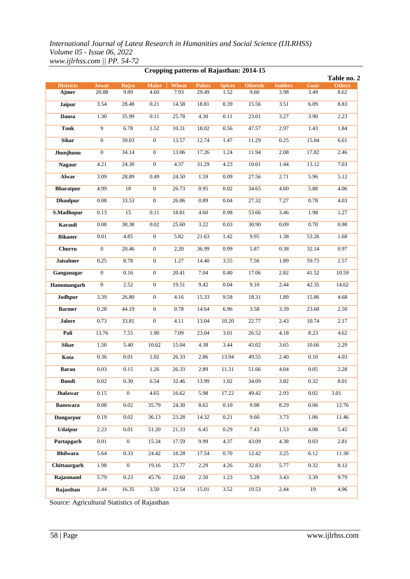| Cropping patterns of Rajasthan: 2014-15 |                |                      |                |              |               |                       |                 |         |       |                              |
|-----------------------------------------|----------------|----------------------|----------------|--------------|---------------|-----------------------|-----------------|---------|-------|------------------------------|
| <b>Districts</b>                        | <b>Jowar</b>   |                      | <b>Maize</b>   | <b>Wheat</b> | <b>Pulses</b> |                       | <b>Oilseeds</b> | fodders | Guar  | Table no. 2<br><b>Others</b> |
| Ajmer                                   | 20.88          | <b>Bajra</b><br>9.89 | 4.60           | 7.93         | 29.49         | <b>Spices</b><br>1.52 | 9.60            | 3.98    | 3.49  | 8.62                         |
| <b>Jaipur</b>                           | 3.54           | 28.48                | 0.21           | 14.58        | 18.81         | 0.39                  | 15.56           | 3.51    | 6.09  | 8.83                         |
| Dausa                                   | 1.30           | 35.99                | 0.11           | 25.78        | 4.30          | 0.11                  | 23.01           | 3.27    | 3.90  | 2.23                         |
| <b>Tonk</b>                             | $\overline{9}$ | 6.78                 | 1.52           | 10.31        | 18.02         | 0.56                  | 47.57           | 2.97    | 1.43  | 1.84                         |
| <b>Sikar</b>                            | $\mathbf{0}$   | 39.03                | $\overline{0}$ | 13.57        | 12.74         | 1.47                  | 11.29           | 0.25    | 15.04 | 6.61                         |
| Jhunjhunu                               | $\overline{0}$ | 34.14                | $\mathbf{0}$   | 13.06        | 17.26         | 1.24                  | 11.94           | 2.08    | 17.82 | 2.46                         |
| <b>Nagaur</b>                           | 4.21           | 24.30                | $\mathbf{0}$   | 4.37         | 31.29         | 4.23                  | 10.01           | 1.44    | 13.12 | 7.03                         |
| Alwar                                   | 3.09           | 28.89                | 0.49           | 24.50        | 1.59          | 0.09                  | 27.56           | 2.71    | 5.96  | 5.12                         |
| <b>Bharatpur</b>                        | 4.99           | 18                   | $\mathbf{0}$   | 26.73        | 0.95          | 0.02                  | 34.65           | 4.60    | 5.88  | 4.06                         |
| <b>Dhaulpur</b>                         | 0.08           | 33.53                | $\overline{0}$ | 26.06        | 0.89          | 0.04                  | 27.32           | 7.27    | 0.78  | 4.03                         |
| S.Madhopur                              | 0.13           | 15                   | 0.11           | 18.81        | 4.60          | 0.98                  | 53.66           | 3.46    | 1.98  | 1.27                         |
| Karauli                                 | $0.08\,$       | 38.38                | $0.02\,$       | 25.60        | 3.22          | 0.03                  | 30.90           | 0.09    | 0.70  | 0.98                         |
| <b>Bikaner</b>                          | $0.01\,$       | 4.85                 | $\mathbf{0}$   | 5.82         | 21.63         | 1.42                  | 9.95            | 1.38    | 53.26 | 1.68                         |
| Churru                                  | $\mathbf{0}$   | 20.46                | $\overline{0}$ | 2.20         | 36.99         | 0.99                  | 5.87            | 0.38    | 32.14 | 0.97                         |
| <b>Jaisalmer</b>                        | 0.25           | 8.78                 | $\mathbf{0}$   | 1.27         | 14.40         | 3.55                  | 7.56            | 1.89    | 59.73 | 2.57                         |
| Ganganagar                              | $\mathbf{0}$   | 0.16                 | $\overline{0}$ | 20.41        | 7.04          | 0.40                  | 17.06           | 2.82    | 41.52 | 10.59                        |
| Hanumangarh                             | $\overline{0}$ | 2.52                 | $\mathbf{0}$   | 19.51        | 9.42          | $0.04\,$              | 9.10            | 2.44    | 42.35 | 14.62                        |
| Jodhpur                                 | 3.39           | 26.80                | $\mathbf{0}$   | 4.16         | 15.33         | 9.58                  | 18.31           | 1.89    | 15.86 | 4.68                         |
| <b>Barmer</b>                           | 0.28           | 44.19                | $\overline{0}$ | 0.78         | 14.64         | 6.96                  | 3.58            | 3.39    | 23.68 | 2.50                         |
|                                         |                |                      | $\mathbf{0}$   | 4.11         | 13.04         |                       | 22.77           | 2.43    | 10.74 | 2.17                         |
| <b>Jalore</b>                           | 0.73           | 33.81                |                |              |               | 10.20                 |                 |         |       |                              |
| Pali                                    | 13.76          | 7.55                 | 1.90           | 7.09         | 23.04         | 3.01                  | 26.52           | 4.18    | 8.23  | 4.62                         |
| <b>Sikar</b>                            | 1.50           | 5.40                 | 10.62          | 15.04        | 4.38          | 3.44                  | 43.02           | 3.65    | 10.66 | 2.29                         |
| Kota                                    | 0.36           | 0.01                 | 1.02           | 26.33        | 2.86          | 13.94                 | 49.55           | 2.40    | 0.10  | 4.03                         |
| <b>Baran</b>                            | 0.03           | 0.15                 | 1.26           | 26.33        | 2.89          | 11.31                 | 51.66           | 4.04    | 0.05  | 2.28                         |
| <b>Bundi</b>                            | 0.02           | 0.30                 | 6.54           | 32.46        | 13.99         | 1.02                  | 34.09           | 3.82    | 0.32  | 8.01                         |
| <b>Jhalawar</b>                         | 0.15           | $\overline{0}$       | 4.65           | 16.62        | 5.98          | 17.22                 | 49.42           | 2.93    | 0.02  | 3.01                         |
| <b>Banswara</b>                         | 0.08           | 0.02                 | 35.79          | 24.30        | 8.62          | 0.10                  | 9.98            | 8.29    | 0.06  | 12.76                        |
| Dungarpur                               | 0.19           | 0.02                 | 36.13          | 23.28        | 14.32         | 0.21                  | 9.60            | 3.73    | 1.06  | 11.46                        |
| <b>Udaipur</b>                          | 2.23           | $0.01\,$             | 51.20          | 21.33        | 6.45          | 0.29                  | 7.43            | 1.53    | 4.08  | 5.45                         |
| Partapgarh                              | 0.01           | $\overline{0}$       | 15.34          | 17.59        | 9.99          | 4.37                  | 43.09           | 4.38    | 0.03  | 2.81                         |
| <b>Bhilwara</b>                         | 5.64           | 0.33                 | 24.42          | 18.28        | 17.54         | 0.70                  | 12.42           | 3.25    | 6.12  | 11.30                        |
| Chittaurgarh                            | 1.98           | $\overline{0}$       | 19.16          | 23.77        | 2.29          | 4.26                  | 32.83           | 5.77    | 0.32  | 8.12                         |
| Rajasmand                               | 5.79           | 0.23                 | 45.76          | 22.60        | 2.50          | 1.23                  | 5.28            | 3.43    | 3.39  | 9.79                         |
| Rajasthan                               | 2.44           | 16.35                | 3.50           | 12.54        | 15.01         | 3.52                  | 19.53           | 2.44    | 19    | 4.96                         |

Source: Agricultural Statistics of Rajasthan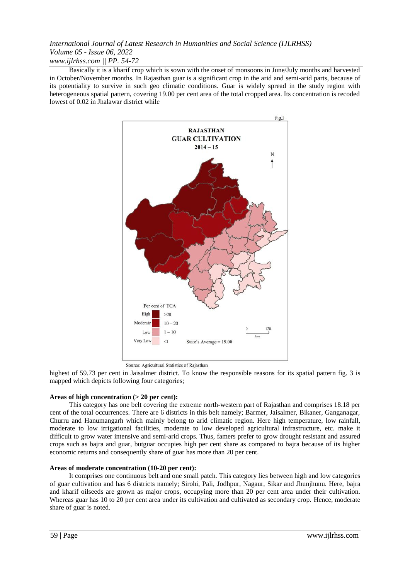Basically it is a kharif crop which is sown with the onset of monsoons in June/July months and harvested in October/November months. In Rajasthan guar is a significant crop in the arid and semi-arid parts, because of its potentiality to survive in such geo climatic conditions. Guar is widely spread in the study region with heterogeneous spatial pattern, covering 19.00 per cent area of the total cropped area. Its concentration is recoded lowest of 0.02 in Jhalawar district while



Source: Agricultural Statistics of Rajasthan

highest of 59.73 per cent in Jaisalmer district. To know the responsible reasons for its spatial pattern fig. 3 is mapped which depicts following four categories;

# **Areas of high concentration (> 20 per cent):**

This category has one belt covering the extreme north-western part of Rajasthan and comprises 18.18 per cent of the total occurrences. There are 6 districts in this belt namely; Barmer, Jaisalmer, Bikaner, Ganganagar, Churru and Hanumangarh which mainly belong to arid climatic region. Here high temperature, low rainfall, moderate to low irrigational facilities, moderate to low developed agricultural infrastructure, etc. make it difficult to grow water intensive and semi-arid crops. Thus, famers prefer to grow drought resistant and assured crops such as bajra and guar, butguar occupies high per cent share as compared to bajra because of its higher economic returns and consequently share of guar has more than 20 per cent.

## **Areas of moderate concentration (10-20 per cent):**

It comprises one continuous belt and one small patch. This category lies between high and low categories of guar cultivation and has 6 districts namely; Sirohi, Pali, Jodhpur, Nagaur, Sikar and Jhunjhunu. Here, bajra and kharif oilseeds are grown as major crops, occupying more than 20 per cent area under their cultivation. Whereas guar has 10 to 20 per cent area under its cultivation and cultivated as secondary crop. Hence, moderate share of guar is noted.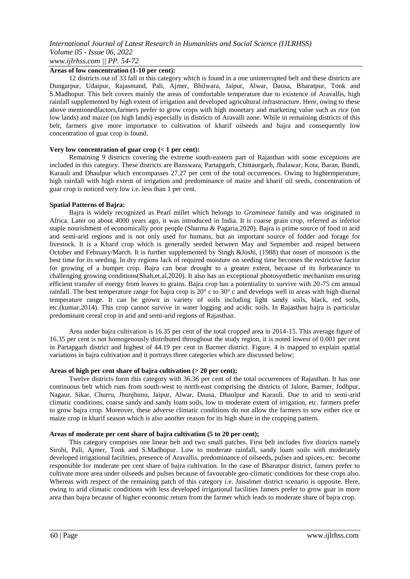## **Areas of low concentration (1-10 per cent):**

12 districts out of 33 fall in this category which is found in a one uninterrupted belt and these districts are Dungarpur, Udaipur, Rajasmand, Pali, Ajmer, Bhilwara, Jaipur, Alwar, Dausa, Bharatpur, Tonk and S.Madhopur. This belt covers mainly the areas of comfortable temperature due to existence of Aravallis, high rainfall supplemented by high extent of irrigation and developed agricultural infrastructure. Here, owing to these above mentionedfactors,farmers prefer to grow crops with high monetary and marketing value such as rice (on low lands) and maize (on high lands) especially in districts of Aravalli zone. While in remaining districts of this belt, farmers give more importance to cultivation of kharif oilseeds and bajra and consequently low concentration of guar crop is found.

## **Very low concentration of guar crop (< 1 per cent):**

Remaining 9 districts covering the extreme south-eastern part of Rajasthan with some exceptions are included in this category. These districts are Banswara, Partapgarh, Chittaurgarh, Jhalawar, Kota, Baran, Bundi, Karauli and Dhaulpur which encompasses 27.27 per cent of the total occurrences. Owing to hightemperature, high rainfall with high extent of irrigation and predominance of maize and kharif oil seeds, concentration of guar crop is noticed very low i.e. less than 1 per cent.

## **Spatial Patterns of Bajra:**

Bajra is widely recognized as Pearl millet which belongs to *Gramineae* family and was originated in Africa. Later on about 4000 years ago, it was introduced in India. It is coarse grain crop, referred as inferior staple nourishment of economically poor people (Sharma & Pagaria,2020). Bajra is prime source of food in arid and semi-arid regions and is not only used for humans, but an important source of fodder and forage for livestock. It is a Kharif crop which is generally seeded between May and September and reaped between October and February/March. It is further supplemented by Singh &Joshi, (1988) that onset of monsoon is the best time for its seeding. In dry regions lack of required moisture on seeding time becomes the restrictive factor for growing of a bumper crop. Bajra can bear drought to a greater extent, because of its forbearance to challenging growing conditions(Shah,et.al,2020). It also has an exceptional photosynthetic mechanism ensuring efficient transfer of energy from leaves to grains. Bajra crop has a potentiality to survive with 20-75 cm annual rainfall. The best temperature range for bajra crop is  $20^{\circ}$  c to  $30^{\circ}$  c and develops well in areas with high diurnal temperature range. It can be grown in variety of soils including light sandy soils, black, red soils, etc.(kumar,2014). This crop cannot survive in water logging and acidic soils. In Rajasthan bajra is particular predominant cereal crop in arid and semi-arid regions of Rajasthan.

Area under bajra cultivation is 16.35 per cent of the total cropped area in 2014-15. This average figure of 16.35 per cent is not homogenously distributed throughout the study region, it is noted lowest of 0.001 per cent in Partapgarh district and highest of 44.19 per cent in Barmer district. Figure. 4 is mapped to explain spatial variations in bajra cultivation and it portrays three categories which are discussed below;

## **Areas of high per cent share of bajra cultivation (> 20 per cent);**

Twelve districts form this category with 36.36 per cent of the total occurrences of Rajasthan. It has one continuous belt which runs from south-west to north-east comprising the districts of Jalore, Barmer, Jodhpur, Nagaur, Sikar, Churru, Jhunjhunu, Jaipur, Alwar, Dausa, Dhaulpur and Karauli. Due to arid to semi-arid climatic conditions, coarse sandy and sandy loam soils, low to moderate extent of irrigation, etc. farmers prefer to grow bajra crop. Moreover, these adverse climatic conditions do not allow the farmers to sow either rice or maize crop in kharif season which is also another reason for its high share in the cropping pattern.

## **Areas of moderate per cent share of bajra cultivation (5 to 20 per cent);**

This category comprises one linear belt and two small patches. First belt includes five districts namely Sirohi, Pali, Ajmer, Tonk and S.Madhopur. Low to moderate rainfall, sandy loam soils with moderately developed irrigational facilities, presence of Aravallis, predominance of oilseeds, pulses and spices, etc. become responsible for moderate per cent share of bajra cultivation. In the case of Bharatpur district, famers prefer to cultivate more area under oilseeds and pulses because of favourable geo-climatic conditions for these crops also. Whereas with respect of the remaining patch of this category i.e. Jaisalmer district scenario is opposite. Here, owing to arid climatic conditions with less developed irrigational facilities famers prefer to grow guar in more area than bajra because of higher economic return from the farmer which leads to moderate share of bajra crop.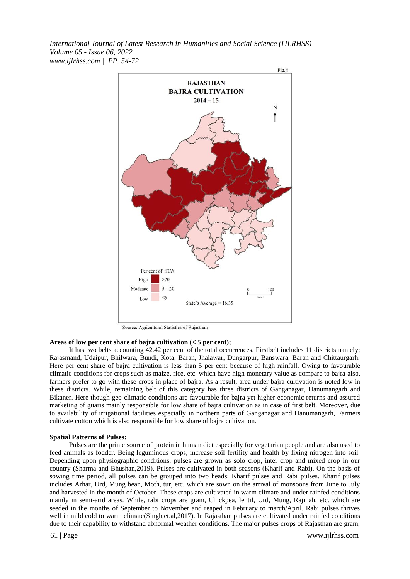

Source: Agricultural Statistics of Rajasthan

#### **Areas of low per cent share of bajra cultivation (< 5 per cent);**

It has two belts accounting 42.42 per cent of the total occurrences. Firstbelt includes 11 districts namely; Rajasmand, Udaipur, Bhilwara, Bundi, Kota, Baran, Jhalawar, Dungarpur, Banswara, Baran and Chittaurgarh. Here per cent share of bajra cultivation is less than 5 per cent because of high rainfall. Owing to favourable climatic conditions for crops such as maize, rice, etc. which have high monetary value as compare to bajra also, farmers prefer to go with these crops in place of bajra. As a result, area under bajra cultivation is noted low in these districts. While, remaining belt of this category has three districts of Ganganagar, Hanumangarh and Bikaner. Here though geo-climatic conditions are favourable for bajra yet higher economic returns and assured marketing of guaris mainly responsible for low share of bajra cultivation as in case of first belt. Moreover, due to availability of irrigational facilities especially in northern parts of Ganganagar and Hanumangarh, Farmers cultivate cotton which is also responsible for low share of bajra cultivation.

#### **Spatial Patterns of Pulses:**

Pulses are the prime source of protein in human diet especially for vegetarian people and are also used to feed animals as fodder. Being leguminous crops, increase soil fertility and health by fixing nitrogen into soil. Depending upon physiographic conditions, pulses are grown as solo crop, inter crop and mixed crop in our country (Sharma and Bhushan,2019). Pulses are cultivated in both seasons (Kharif and Rabi). On the basis of sowing time period, all pulses can be grouped into two heads; Kharif pulses and Rabi pulses. Kharif pulses includes Arhar, Urd, Mung bean, Moth, tur, etc. which are sown on the arrival of monsoons from June to July and harvested in the month of October. These crops are cultivated in warm climate and under rainfed conditions mainly in semi-arid areas. While, rabi crops are gram, Chickpea, lentil, Urd, Mung, Rajmah, etc. which are seeded in the months of September to November and reaped in February to march/April. Rabi pulses thrives well in mild cold to warm climate(Singh,et.al,2017). In Rajasthan pulses are cultivated under rainfed conditions due to their capability to withstand abnormal weather conditions. The major pulses crops of Rajasthan are gram,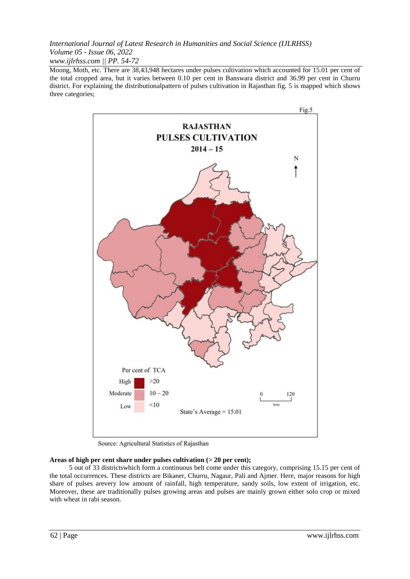*www.ijlrhss.com || PP. 54-72*

Moong, Moth, etc. There are 38,43,948 hectares under pulses cultivation which accounted for 15.01 per cent of the total cropped area, but it varies between 0.10 per cent in Banswara district and 36.99 per cent in Churru district. For explaining the distributionalpattern of pulses cultivation in Rajasthan fig. 5 is mapped which shows three categories;



Source: Agricultural Statistics of Rajasthan

# **Areas of high per cent share under pulses cultivation (> 20 per cent);**

5 out of 33 districtswhich form a continuous belt come under this category, comprising 15.15 per cent of the total occurrences. These districts are Bikaner, Churru, Nagaur, Pali and Ajmer. Here, major reasons for high share of pulses arevery low amount of rainfall, high temperature, sandy soils, low extent of irrigation, etc. Moreover, these are traditionally pulses growing areas and pulses are mainly grown either solo crop or mixed with wheat in rabi season.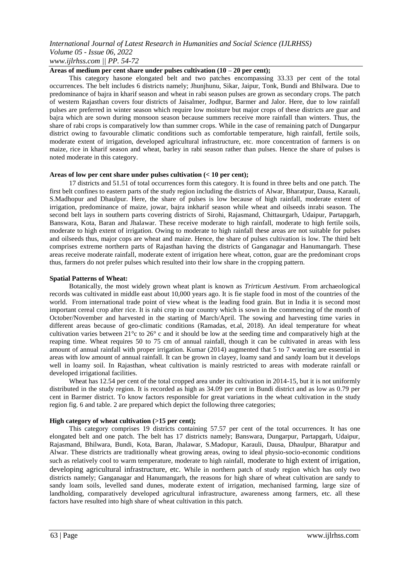## **Areas of medium per cent share under pulses cultivation (10 – 20 per cent);**

This category hasone elongated belt and two patches encompassing 33.33 per cent of the total occurrences. The belt includes 6 districts namely; Jhunjhunu, Sikar, Jaipur, Tonk, Bundi and Bhilwara. Due to predominance of bajra in kharif season and wheat in rabi season pulses are grown as secondary crops. The patch of western Rajasthan covers four districts of Jaisalmer, Jodhpur, Barmer and Jalor. Here, due to low rainfall pulses are preferred in winter season which require low moisture but major crops of these districts are guar and bajra which are sown during monsoon season because summers receive more rainfall than winters. Thus, the share of rabi crops is comparatively low than summer crops. While in the case of remaining patch of Dungarpur district owing to favourable climatic conditions such as comfortable temperature, high rainfall, fertile soils, moderate extent of irrigation, developed agricultural infrastructure, etc. more concentration of farmers is on maize, rice in kharif season and wheat, barley in rabi season rather than pulses. Hence the share of pulses is noted moderate in this category.

## **Areas of low per cent share under pulses cultivation (< 10 per cent);**

17 districts and 51.51 of total occurrences form this category. It is found in three belts and one patch. The first belt confines to eastern parts of the study region including the districts of Alwar, Bharatpur, Dausa, Karauli, S.Madhopur and Dhaulpur. Here, the share of pulses is low because of high rainfall, moderate extent of irrigation, predominance of maize, jowar, bajra inkharif season while wheat and oilseeds inrabi season. The second belt lays in southern parts covering districts of Sirohi, Rajasmand, Chittaurgarh, Udaipur, Partapgarh, Banswara, Kota, Baran and Jhalawar. These receive moderate to high rainfall, moderate to high fertile soils, moderate to high extent of irrigation. Owing to moderate to high rainfall these areas are not suitable for pulses and oilseeds thus, major cops are wheat and maize. Hence, the share of pulses cultivation is low. The third belt comprises extreme northern parts of Rajasthan having the districts of Ganganagar and Hanumangarh. These areas receive moderate rainfall, moderate extent of irrigation here wheat, cotton, guar are the predominant crops thus, farmers do not prefer pulses which resulted into their low share in the cropping pattern.

## **Spatial Patterns of Wheat:**

Botanically, the most widely grown wheat plant is known as *Trirticum Aestivum.* From archaeological records was cultivated in middle east about 10,000 years ago. It is fie staple food in most of the countries of the world. From international trade point of view wheat is the leading food grain. But in India it is second most important cereal crop after rice. It is rabi crop in our country which is sown in the commencing of the month of October/November and harvested in the starting of March/April. The sowing and harvesting time varies in different areas because of geo-climatic conditions (Ramadas, et.al, 2018). An ideal temperature for wheat cultivation varies between  $21^{\circ}$ c to  $26^{\circ}$  c and it should be low at the seeding time and comparatively high at the reaping time. Wheat requires 50 to 75 cm of annual rainfall, though it can be cultivated in areas with less amount of annual rainfall with proper irrigation. Kumar (2014) augmented that 5 to 7 watering are essential in areas with low amount of annual rainfall. It can be grown in clayey, loamy sand and sandy loam but it develops well in loamy soil. In Rajasthan, wheat cultivation is mainly restricted to areas with moderate rainfall or developed irrigational facilities.

Wheat has 12.54 per cent of the total cropped area under its cultivation in 2014-15, but it is not uniformly distributed in the study region. It is recorded as high as 34.09 per cent in Bundi district and as low as 0.79 per cent in Barmer district. To know factors responsible for great variations in the wheat cultivation in the study region fig. 6 and table. 2 are prepared which depict the following three categories;

## **High category of wheat cultivation (>15 per cent);**

This category comprises 19 districts containing 57.57 per cent of the total occurrences. It has one elongated belt and one patch. The belt has 17 districts namely; Banswara, Dungarpur, Partapgarh, Udaipur, Rajasmand, Bhilwara, Bundi, Kota, Baran, Jhalawar, S.Madopur, Karauli, Dausa, Dhaulpur, Bharatpur and Alwar. These districts are traditionally wheat growing areas, owing to ideal physio-socio-economic conditions such as relatively cool to warm temperature, moderate to high rainfall, moderate to high extent of irrigation, developing agricultural infrastructure, etc. While in northern patch of study region which has only two districts namely; Ganganagar and Hanumangarh, the reasons for high share of wheat cultivation are sandy to sandy loam soils, levelled sand dunes, moderate extent of irrigation, mechanised farming, large size of landholding, comparatively developed agricultural infrastructure, awareness among farmers, etc. all these factors have resulted into high share of wheat cultivation in this patch.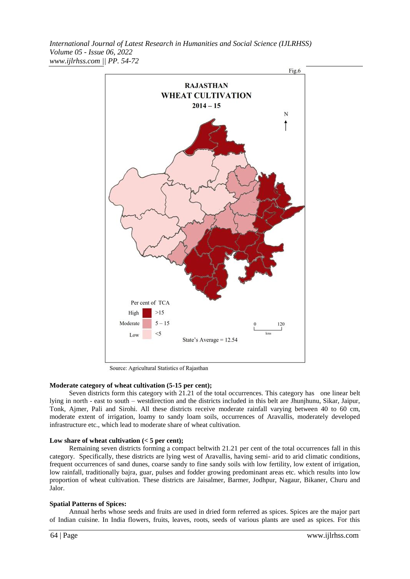

Source: Agricultural Statistics of Rajasthan

# **Moderate category of wheat cultivation (5-15 per cent);**

Seven districts form this category with 21.21 of the total occurrences. This category has one linear belt lying in north - east to south – westdirection and the districts included in this belt are Jhunjhunu, Sikar, Jaipur, Tonk, Ajmer, Pali and Sirohi. All these districts receive moderate rainfall varying between 40 to 60 cm, moderate extent of irrigation, loamy to sandy loam soils, occurrences of Aravallis, moderately developed infrastructure etc., which lead to moderate share of wheat cultivation.

## **Low share of wheat cultivation (< 5 per cent);**

Remaining seven districts forming a compact beltwith 21.21 per cent of the total occurrences fall in this category. Specifically, these districts are lying west of Aravallis, having semi- arid to arid climatic conditions, frequent occurrences of sand dunes, coarse sandy to fine sandy soils with low fertility, low extent of irrigation, low rainfall, traditionally bajra, guar, pulses and fodder growing predominant areas etc. which results into low proportion of wheat cultivation. These districts are Jaisalmer, Barmer, Jodhpur, Nagaur, Bikaner, Churu and Jalor.

## **Spatial Patterns of Spices:**

Annual herbs whose seeds and fruits are used in dried form referred as spices. Spices are the major part of Indian cuisine. In India flowers, fruits, leaves, roots, seeds of various plants are used as spices. For this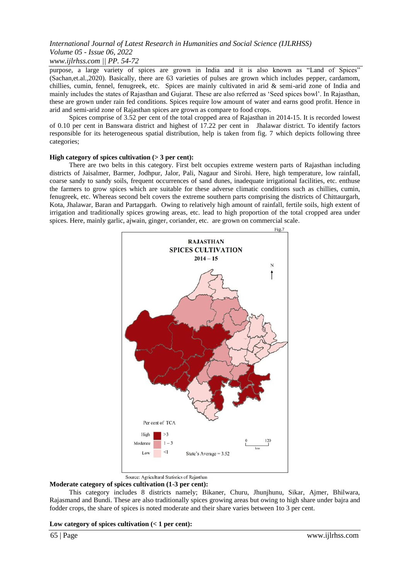purpose, a large variety of spices are grown in India and it is also known as "Land of Spices" (Sachan,et.al.,2020). Basically, there are 63 varieties of pulses are grown which includes pepper, cardamom, chillies, cumin, fennel, fenugreek, etc. Spices are mainly cultivated in arid & semi-arid zone of India and mainly includes the states of Rajasthan and Gujarat. These are also referred as "Seed spices bowl". In Rajasthan, these are grown under rain fed conditions. Spices require low amount of water and earns good profit. Hence in arid and semi-arid zone of Rajasthan spices are grown as compare to food crops.

Spices comprise of 3.52 per cent of the total cropped area of Rajasthan in 2014-15. It is recorded lowest of 0.10 per cent in Banswara district and highest of 17.22 per cent in Jhalawar district. To identify factors responsible for its heterogeneous spatial distribution, help is taken from fig. 7 which depicts following three categories;

## **High category of spices cultivation (> 3 per cent):**

There are two belts in this category. First belt occupies extreme western parts of Rajasthan including districts of Jaisalmer, Barmer, Jodhpur, Jalor, Pali, Nagaur and Sirohi. Here, high temperature, low rainfall, coarse sandy to sandy soils, frequent occurrences of sand dunes, inadequate irrigational facilities, etc. enthuse the farmers to grow spices which are suitable for these adverse climatic conditions such as chillies, cumin, fenugreek, etc. Whereas second belt covers the extreme southern parts comprising the districts of Chittaurgarh, Kota, Jhalawar, Baran and Partapgarh. Owing to relatively high amount of rainfall, fertile soils, high extent of irrigation and traditionally spices growing areas, etc. lead to high proportion of the total cropped area under spices. Here, mainly garlic, ajwain, ginger, coriander, etc. are grown on commercial scale.



Source: Agricultural Statistics of Rajasthan

## **Moderate category of spices cultivation (1-3 per cent):**

This category includes 8 districts namely; Bikaner, Churu, Jhunjhunu, Sikar, Ajmer, Bhilwara, Rajasmand and Bundi. These are also traditionally spices growing areas but owing to high share under bajra and fodder crops, the share of spices is noted moderate and their share varies between 1to 3 per cent.

#### **Low category of spices cultivation (< 1 per cent):**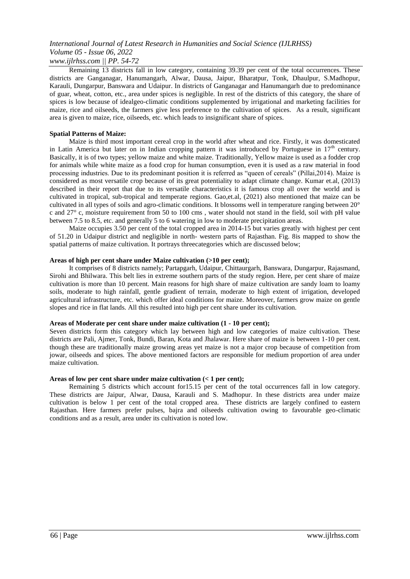*www.ijlrhss.com || PP. 54-72*

Remaining 13 districts fall in low category, containing 39.39 per cent of the total occurrences. These districts are Ganganagar, Hanumangarh, Alwar, Dausa, Jaipur, Bharatpur, Tonk, Dhaulpur, S.Madhopur, Karauli, Dungarpur, Banswara and Udaipur. In districts of Ganganagar and Hanumangarh due to predominance of guar, wheat, cotton, etc., area under spices is negligible. In rest of the districts of this category, the share of spices is low because of idealgeo-climatic conditions supplemented by irrigational and marketing facilities for maize, rice and oilseeds, the farmers give less preference to the cultivation of spices. As a result, significant area is given to maize, rice, oilseeds, etc. which leads to insignificant share of spices.

# **Spatial Patterns of Maize:**

Maize is third most important cereal crop in the world after wheat and rice. Firstly, it was domesticated in Latin America but later on in Indian cropping pattern it was introduced by Portuguese in  $17<sup>th</sup>$  century. Basically, it is of two types; yellow maize and white maize. Traditionally, Yellow maize is used as a fodder crop for animals while white maize as a food crop for human consumption, even it is used as a raw material in food processing industries. Due to its predominant position it is referred as "queen of cereals" (Pillai,2014). Maize is considered as most versatile crop because of its great potentiality to adapt climate change. Kumar et.al, (2013) described in their report that due to its versatile characteristics it is famous crop all over the world and is cultivated in tropical, sub-tropical and temperate regions. Gao,et.al, (2021) also mentioned that maize can be cultivated in all types of soils and agro-climatic conditions. It blossoms well in temperature ranging between 20° c and 27° c, moisture requirement from 50 to 100 cms , water should not stand in the field, soil with pH value between 7.5 to 8.5, etc. and generally 5 to 6 watering in low to moderate precipitation areas.

Maize occupies 3.50 per cent of the total cropped area in 2014-15 but varies greatly with highest per cent of 51.20 in Udaipur district and negligible in north- western parts of Rajasthan. Fig. 8is mapped to show the spatial patterns of maize cultivation. It portrays threecategories which are discussed below;

## **Areas of high per cent share under Maize cultivation (>10 per cent);**

It comprises of 8 districts namely; Partapgarh, Udaipur, Chittaurgarh, Banswara, Dungarpur, Rajasmand, Sirohi and Bhilwara. This belt lies in extreme southern parts of the study region. Here, per cent share of maize cultivation is more than 10 percent. Main reasons for high share of maize cultivation are sandy loam to loamy soils, moderate to high rainfall, gentle gradient of terrain, moderate to high extent of irrigation, developed agricultural infrastructure, etc. which offer ideal conditions for maize. Moreover, farmers grow maize on gentle slopes and rice in flat lands. All this resulted into high per cent share under its cultivation.

## **Areas of Moderate per cent share under maize cultivation (1 - 10 per cent);**

Seven districts form this category which lay between high and low categories of maize cultivation. These districts are Pali, Ajmer, Tonk, Bundi, Baran, Kota and Jhalawar. Here share of maize is between 1-10 per cent. though these are traditionally maize growing areas yet maize is not a major crop because of competition from jowar, oilseeds and spices. The above mentioned factors are responsible for medium proportion of area under maize cultivation.

## **Areas of low per cent share under maize cultivation (< 1 per cent);**

Remaining 5 districts which account for15.15 per cent of the total occurrences fall in low category. These districts are Jaipur, Alwar, Dausa, Karauli and S. Madhopur. In these districts area under maize cultivation is below 1 per cent of the total cropped area. These districts are largely confined to eastern Rajasthan. Here farmers prefer pulses, bajra and oilseeds cultivation owing to favourable geo-climatic conditions and as a result, area under its cultivation is noted low.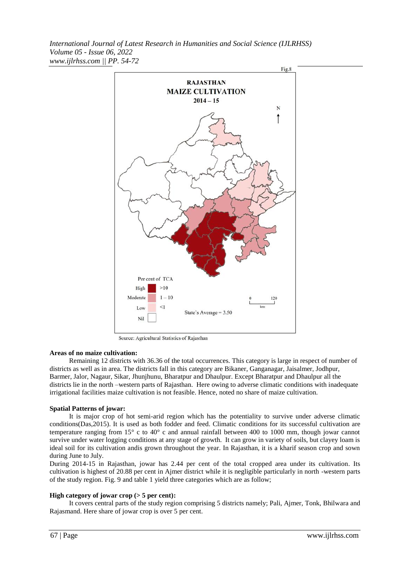

Source: Agricultural Statistics of Rajasthan

#### **Areas of no maize cultivation:**

Remaining 12 districts with 36.36 of the total occurrences. This category is large in respect of number of districts as well as in area. The districts fall in this category are Bikaner, Ganganagar, Jaisalmer, Jodhpur, Barmer, Jalor, Nagaur, Sikar, Jhunjhunu, Bharatpur and Dhaulpur. Except Bharatpur and Dhaulpur all the districts lie in the north –western parts of Rajasthan. Here owing to adverse climatic conditions with inadequate irrigational facilities maize cultivation is not feasible. Hence, noted no share of maize cultivation.

#### **Spatial Patterns of jowar:**

It is major crop of hot semi-arid region which has the potentiality to survive under adverse climatic conditions(Das,2015). It is used as both fodder and feed. Climatic conditions for its successful cultivation are temperature ranging from 15° c to 40° c and annual rainfall between 400 to 1000 mm, though jowar cannot survive under water logging conditions at any stage of growth. It can grow in variety of soils, but clayey loam is ideal soil for its cultivation andis grown throughout the year. In Rajasthan, it is a kharif season crop and sown during June to July.

During 2014-15 in Rajasthan, jowar has 2.44 per cent of the total cropped area under its cultivation. Its cultivation is highest of 20.88 per cent in Ajmer district while it is negligible particularly in north -western parts of the study region. Fig. 9 and table 1 yield three categories which are as follow;

#### **High category of jowar crop (> 5 per cent):**

It covers central parts of the study region comprising 5 districts namely; Pali, Ajmer, Tonk, Bhilwara and Rajasmand. Here share of jowar crop is over 5 per cent.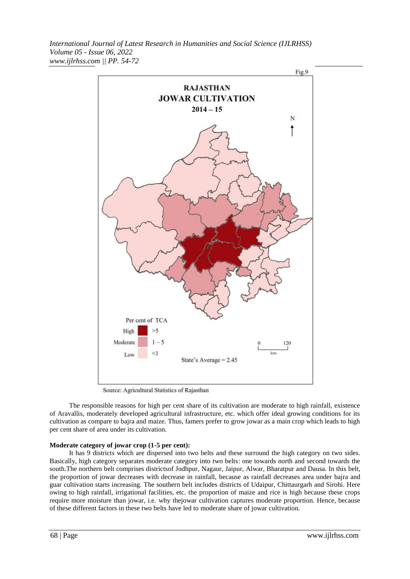

Source: Agricultural Statistics of Rajasthan

The responsible reasons for high per cent share of its cultivation are moderate to high rainfall, existence of Aravallis, moderately developed agricultural infrastructure, etc. which offer ideal growing conditions for its cultivation as compare to bajra and maize. Thus, famers prefer to grow jowar as a main crop which leads to high per cent share of area under its cultivation.

## **Moderate category of jowar crop (1-5 per cent):**

It has 9 districts which are dispersed into two belts and these surround the high category on two sides. Basically, high category separates moderate category into two belts: one towards north and second towards the south.The northern belt comprises districtsof Jodhpur, Nagaur, Jaipur, Alwar, Bharatpur and Dausa. In this belt, the proportion of jowar decreases with decrease in rainfall, because as rainfall decreases area under bajra and guar cultivation starts increasing. The southern belt includes districts of Udaipur, Chittaurgarh and Sirohi. Here owing to high rainfall, irrigational facilities, etc. the proportion of maize and rice is high because these crops require more moisture than jowar, i.e. why thejowar cultivation captures moderate proportion. Hence, because of these different factors in these two belts have led to moderate share of jowar cultivation.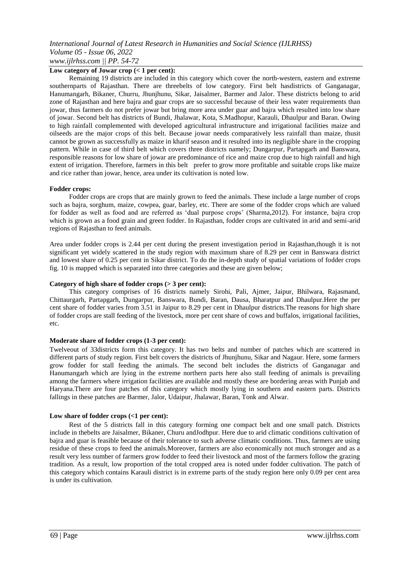**Low category of Jowar crop (< 1 per cent):**

Remaining 19 districts are included in this category which cover the north-western, eastern and extreme southernparts of Rajasthan. There are threebelts of low category. First belt hasdistricts of Ganganagar, Hanumangarh, Bikaner, Churru, Jhunjhunu, Sikar, Jaisalmer, Barmer and Jalor. These districts belong to arid zone of Rajasthan and here bajra and guar crops are so successful because of their less water requirements than jowar, thus farmers do not prefer jowar but bring more area under guar and bajra which resulted into low share of jowar. Second belt has districts of Bundi, Jhalawar, Kota, S.Madhopur, Karauli, Dhaulpur and Baran. Owing to high rainfall complemented with developed agricultural infrastructure and irrigational facilities maize and oilseeds are the major crops of this belt. Because jowar needs comparatively less rainfall than maize, thusit cannot be grown as successfully as maize in kharif season and it resulted into its negligible share in the cropping pattern. While in case of third belt which covers three districts namely; Dungarpur, Partapgarh and Banswara, responsible reasons for low share of jowar are predominance of rice and maize crop due to high rainfall and high extent of irrigation. Therefore, farmers in this belt prefer to grow more profitable and suitable crops like maize and rice rather than jowar, hence, area under its cultivation is noted low.

## **Fodder crops:**

Fodder crops are crops that are mainly grown to feed the animals. These include a large number of crops such as bajra, sorghum, maize, cowpea, guar, barley, etc. There are some of the fodder crops which are valued for fodder as well as food and are referred as "dual purpose crops" (Sharma,2012). For instance, bajra crop which is grown as a food grain and green fodder. In Rajasthan, fodder crops are cultivated in arid and semi-arid regions of Rajasthan to feed animals.

Area under fodder crops is 2.44 per cent during the present investigation period in Rajasthan,though it is not significant yet widely scattered in the study region with maximum share of 8.29 per cent in Banswara district and lowest share of 0.25 per cent in Sikar district. To do the in-depth study of spatial variations of fodder crops fig. 10 is mapped which is separated into three categories and these are given below;

# **Category of high share of fodder crops (> 3 per cent):**

This category comprises of 16 districts namely Sirohi, Pali, Ajmer, Jaipur, Bhilwara, Rajasmand, Chittaurgarh, Partapgarh, Dungarpur, Banswara, Bundi, Baran, Dausa, Bharatpur and Dhaulpur.Here the per cent share of fodder varies from 3.51 in Jaipur to 8.29 per cent in Dhaulpur districts.The reasons for high share of fodder crops are stall feeding of the livestock, more per cent share of cows and buffalos, irrigational facilities, etc.

## **Moderate share of fodder crops (1-3 per cent):**

Twelveout of 33districts form this category. It has two belts and number of patches which are scattered in different parts of study region. First belt covers the districts of Jhunjhunu, Sikar and Nagaur. Here, some farmers grow fodder for stall feeding the animals. The second belt includes the districts of Ganganagar and Hanumangarh which are lying in the extreme northern parts here also stall feeding of animals is prevailing among the farmers where irrigation facilities are available and mostly these are bordering areas with Punjab and Haryana.There are four patches of this category which mostly lying in southern and eastern parts. Districts fallings in these patches are Barmer, Jalor, Udaipur, Jhalawar, Baran, Tonk and Alwar.

## **Low share of fodder crops (<1 per cent):**

Rest of the 5 districts fall in this category forming one compact belt and one small patch. Districts include in thebelts are Jaisalmer, Bikaner, Churu andJodhpur. Here due to arid climatic conditions cultivation of bajra and guar is feasible because of their tolerance to such adverse climatic conditions. Thus, farmers are using residue of these crops to feed the animals.Moreover, farmers are also economically not much stronger and as a result very less number of farmers grow fodder to feed their livestock and most of the farmers follow the grazing tradition. As a result, low proportion of the total cropped area is noted under fodder cultivation. The patch of this category which contains Karauli district is in extreme parts of the study region here only 0.09 per cent area is under its cultivation.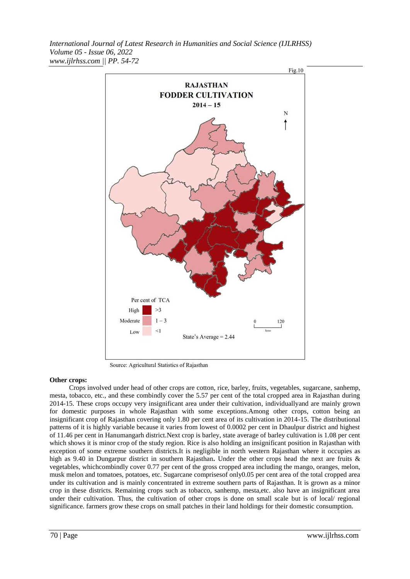

Source: Agricultural Statistics of Rajasthan

## **Other crops:**

Crops involved under head of other crops are cotton, rice, barley, fruits, vegetables, sugarcane, sanhemp, mesta, tobacco, etc., and these combindly cover the 5.57 per cent of the total cropped area in Rajasthan during 2014-15. These crops occupy very insignificant area under their cultivation, individuallyand are mainly grown for domestic purposes in whole Rajasthan with some exceptions.Among other crops, cotton being an insignificant crop of Rajasthan covering only 1.80 per cent area of its cultivation in 2014-15. The distributional patterns of it is highly variable because it varies from lowest of 0.0002 per cent in Dhaulpur district and highest of 11.46 per cent in Hanumangarh district.Next crop is barley, state average of barley cultivation is 1.08 per cent which shows it is minor crop of the study region. Rice is also holding an insignificant position in Rajasthan with exception of some extreme southern districts.It is negligible in north western Rajasthan where it occupies as high as 9.40 in Dungarpur district in southern Rajasthan**.** Under the other crops head the next are fruits & vegetables, whichcombindly cover 0.77 per cent of the gross cropped area including the mango, oranges, melon, musk melon and tomatoes, potatoes, etc. Sugarcane comprisesof only0.05 per cent area of the total cropped area under its cultivation and is mainly concentrated in extreme southern parts of Rajasthan. It is grown as a minor crop in these districts. Remaining crops such as tobacco, sanhemp, mesta,etc. also have an insignificant area under their cultivation. Thus, the cultivation of other crops is done on small scale but is of local/ regional significance. farmers grow these crops on small patches in their land holdings for their domestic consumption.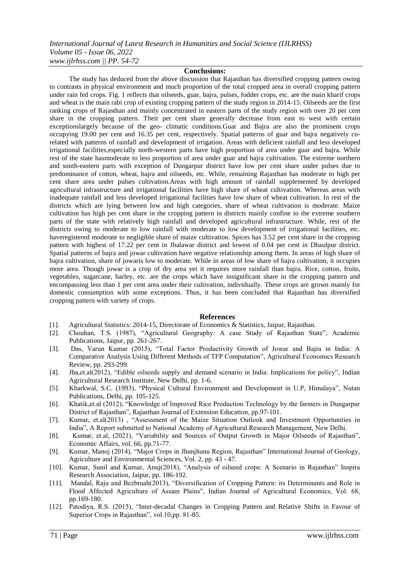#### **Conclusions:**

The study has deduced from the above discussion that Rajasthan has diversified cropping pattern owing to contrasts in physical environment and much proportion of the total cropped area in overall cropping pattern under rain fed crops. Fig. 1 reflects that oilseeds, guar, bajra, pulses, fodder crops, etc. are the main kharif crops and wheat is the main rabi crop of existing cropping pattern of the study region in 2014-15. Oilseeds are the first ranking crops of Rajasthan and mainly concentrated in eastern parts of the study region with over 20 per cent share in the cropping pattern. Their per cent share generally decrease from east to west with certain exceptionslargely because of the geo- climatic conditions.Guar and Bajra are also the prominent crops occupying 19.00 per cent and 16.35 per cent, respectively. Spatial patterns of guar and bajra negatively corelated with patterns of rainfall and development of irrigation. Areas with deficient rainfall and less developed irrigational facilities,especially north-western parts have high proportion of area under guar and bajra. While rest of the state hasmoderate to less proportion of area under guar and bajra cultivation. The extreme northern and south-eastern parts with exception of Dungarpur district have low per cent share under pulses due to predominance of cotton, wheat, bajra and oilseeds, etc. While, remaining Rajasthan has moderate to high per cent share area under pulses cultivation.Areas with high amount of rainfall supplemented by developed agricultural infrastructure and irrigational facilities have high share of wheat cultivation. Whereas areas with inadequate rainfall and less developed irrigational facilities have low share of wheat cultivation. In rest of the districts which are lying between low and high categories, share of wheat cultivation is moderate. Maize cultivation has high per cent share in the cropping pattern in districts mainly confine to the extreme southern parts of the state with relatively high rainfall and developed agricultural infrastructure. While, rest of the districts owing to moderate to low rainfall with moderate to low development of irrigational facilities, etc. haveregistered moderate to negligible share of maize cultivation. Spices has 3.52 per cent share in the cropping pattern with highest of 17.22 per cent in Jhalawar district and lowest of 0.04 per cent in Dhaulpur district. Spatial patterns of bajra and jowar cultivation have negative relationship among them. In areas of high share of bajra cultivation, share of jowaris low to moderate. While in areas of low share of bajra cultivation, it occupies more area. Though jowar is a crop of dry area yet it requires more rainfall than bajra. Rice, cotton, fruits, vegetables, sugarcane, barley, etc. are the crops which have insignificant share in the cropping pattern and encompassing less than 1 per cent area under their cultivation, individually. These crops are grown mainly for domestic consumption with some exceptions. Thus, it has been concluded that Rajasthan has diversified cropping pattern with variety of crops.

## **References**

- [1]. Agricultural Statistics: 2014-15, Directorate of Economics & Statistics, Jaipur, Rajasthan.
- [2]. Chouhan, T.S. (1987), "Agricultural Geography: A case Study of Rajasthan State", Academic Publications, Jaipur, pp. 261-267.
- [3]. Das, Varun Kumar (2015), "Total Factor Productivity Growth of Jowar and Bajra in India: A Comparative Analysis Using Different Methods of TFP Computation", Agricultural Economics Research Review, pp. 293-299.
- [4]. Jha,et.al(2012), "Edible oilseeds supply and demand scenario in India: Implications for policy", Indian Agricultural Research Institute, New Delhi, pp. 1-6.
- [5]. Kharkwal, S.C. (1993), "Physical Cultural Environment and Development in U.P, Himalaya", Nutan Publications, Delhi, pp. 105-125.
- [6]. Khatik,et.al (2012), "Knowledge of Improved Rice Production Technology by the farmers in Dungarpur District of Rajasthan", Rajasthan Journal of Extension Education, pp.97-101.
- [7]. Kumar, et.al(2013) , "Assessment of the Maize Situation Outlook and Investment Opportunities in India", A Report submitted to National Academy of Agricultural Research Management, New Delhi.
- [8]. Kumar, et.al, (2021), "Variability and Sources of Output Growth in Major Oilseeds of Rajasthan", Economic Affairs, vol. 66, pp.71-77.
- [9]. Kumar, Manoj (2014), "Major Crops in Jhunjhunu Region, Rajasthan" International Journal of Geology, Agriculture and Environmental Sciences, Vol. 2, pp. 43 - 47.
- [10]. Kumar, Sunil and Kumar, Anuj(2018), "Analysis of oilseed crops: A Scenario in Rajasthan" Inspira Research Association, Jaipur, pp. 186-192.
- [11]. Mandal, Raju and Bezbruah(2013), "Diversification of Cropping Pattern: its Determinants and Role in Flood Affected Agriculture of Assam Plains", Indian Journal of Agricultural Economics, Vol. 68, pp.169-180.
- [12]. Patodiya, R.S. (2015), "Inter-decadal Changes in Cropping Pattern and Relative Shifts in Favour of Superior Crops in Rajasthan", vol.10,pp. 81-85.